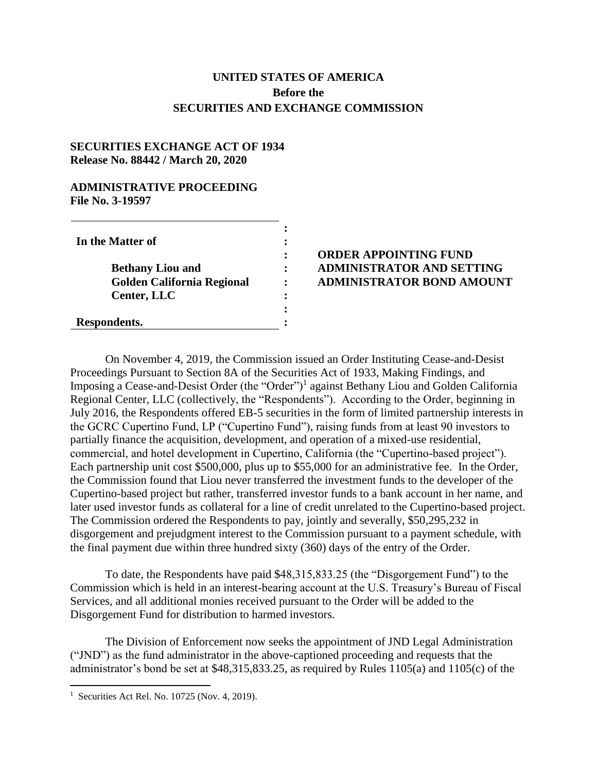## **UNITED STATES OF AMERICA Before the SECURITIES AND EXCHANGE COMMISSION**

## **SECURITIES EXCHANGE ACT OF 1934 Release No. 88442 / March 20, 2020**

## **ADMINISTRATIVE PROCEEDING File No. 3-19597**

## **ORDER APPOINTING FUND ADMINISTRATOR AND SETTING ADMINISTRATOR BOND AMOUNT**

On November 4, 2019, the Commission issued an Order Instituting Cease-and-Desist Proceedings Pursuant to Section 8A of the Securities Act of 1933, Making Findings, and Imposing a Cease-and-Desist Order (the "Order")<sup>1</sup> against Bethany Liou and Golden California Regional Center, LLC (collectively, the "Respondents"). According to the Order, beginning in July 2016, the Respondents offered EB-5 securities in the form of limited partnership interests in the GCRC Cupertino Fund, LP ("Cupertino Fund"), raising funds from at least 90 investors to partially finance the acquisition, development, and operation of a mixed-use residential, commercial, and hotel development in Cupertino, California (the "Cupertino-based project"). Each partnership unit cost \$500,000, plus up to \$55,000 for an administrative fee. In the Order, the Commission found that Liou never transferred the investment funds to the developer of the Cupertino-based project but rather, transferred investor funds to a bank account in her name, and later used investor funds as collateral for a line of credit unrelated to the Cupertino-based project. The Commission ordered the Respondents to pay, jointly and severally, \$50,295,232 in disgorgement and prejudgment interest to the Commission pursuant to a payment schedule, with the final payment due within three hundred sixty (360) days of the entry of the Order.

To date, the Respondents have paid \$48,315,833.25 (the "Disgorgement Fund") to the Commission which is held in an interest-bearing account at the U.S. Treasury's Bureau of Fiscal Services, and all additional monies received pursuant to the Order will be added to the Disgorgement Fund for distribution to harmed investors.

The Division of Enforcement now seeks the appointment of JND Legal Administration ("JND") as the fund administrator in the above-captioned proceeding and requests that the administrator's bond be set at \$48,315,833.25, as required by Rules 1105(a) and 1105(c) of the

 1 Securities Act Rel. No. 10725 (Nov. 4, 2019).